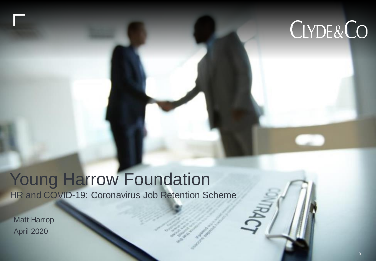# CLYDE&CO

## **Young Harrow Foundation**

HR and COVID-19: Coronavirus Job Retention Scheme

Matt Harrop April 2020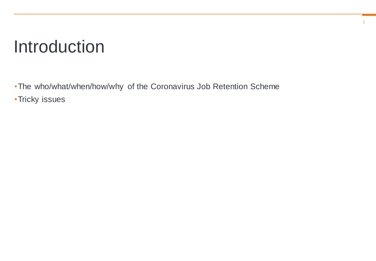#### **Introduction**

•The who/what/when/how/why of the Coronavirus Job Retention Scheme •Tricky issues

1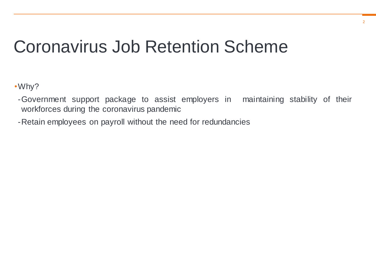•Why?

- -Government support package to assist employers in maintaining stability of their workforces during the coronavirus pandemic
- -Retain employees on payroll without the need for redundancies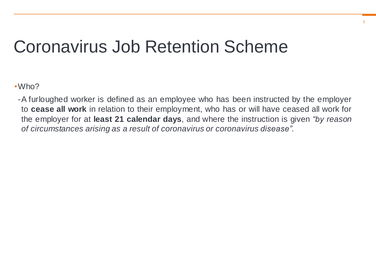•Who?

-A furloughed worker is defined as an employee who has been instructed by the employer to **cease all work** in relation to their employment, who has or will have ceased all work for the employer for at **least 21 calendar days**, and where the instruction is given *"by reason of circumstances arising as a result of coronavirus or coronavirus disease".*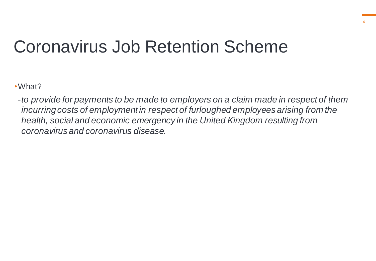•What?

-*to provide for payments to be made to employers on a claim made in respect of them incurring costs of employment in respect of furloughed employees arising from the health, social and economic emergency in the United Kingdom resulting from coronavirus and coronavirus disease.*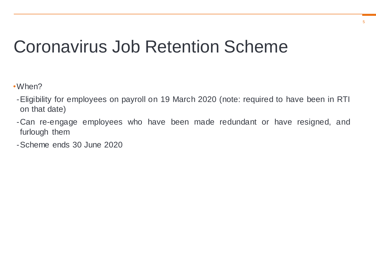•When?

- -Eligibility for employees on payroll on 19 March 2020 (note: required to have been in RTI on that date)
- -Can re-engage employees who have been made redundant or have resigned, and furlough them
- -Scheme ends 30 June 2020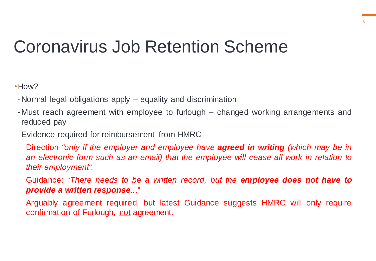•How?

- -Normal legal obligations apply equality and discrimination
- -Must reach agreement with employee to furlough changed working arrangements and reduced pay
- -Evidence required for reimbursement from HMRC

Direction *"only if the employer and employee have agreed in writing (which may be in an electronic form such as an email) that the employee will cease all work in relation to their employment".*

Guidance: "*There needs to be a written record, but the employee does not have to provide a written response..*."

Arguably agreement required, but latest Guidance suggests HMRC will only require confirmation of Furlough, not agreement.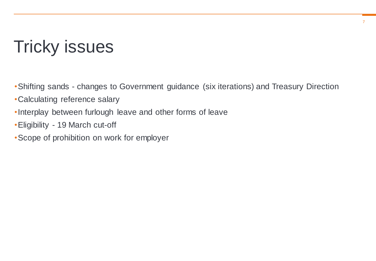#### Tricky issues

- •Shifting sands changes to Government guidance (six iterations) and Treasury Direction
- •Calculating reference salary
- •Interplay between furlough leave and other forms of leave
- •Eligibility 19 March cut-off
- •Scope of prohibition on work for employer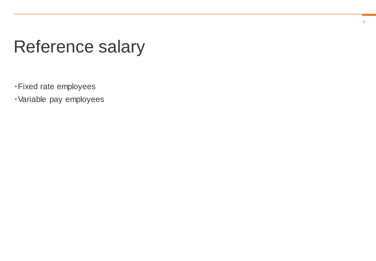#### Reference salary

•Fixed rate employees

•Variable pay employees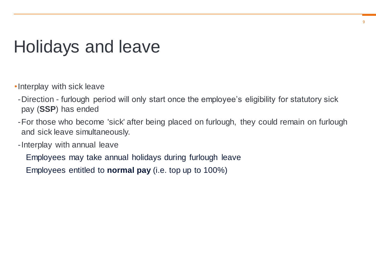#### Holidays and leave

- •Interplay with sick leave
- -Direction furlough period will only start once the employee's eligibility for statutory sick pay (**SSP**) has ended
- -For those who become 'sick' after being placed on furlough, they could remain on furlough and sick leave simultaneously.
- -Interplay with annual leave

Employees may take annual holidays during furlough leave

Employees entitled to **normal pay** (i.e. top up to 100%)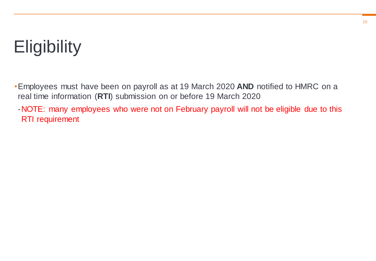### **Eligibility**

•Employees must have been on payroll as at 19 March 2020 **AND** notified to HMRC on a real time information (**RTI**) submission on or before 19 March 2020

-NOTE: many employees who were not on February payroll will not be eligible due to this RTI requirement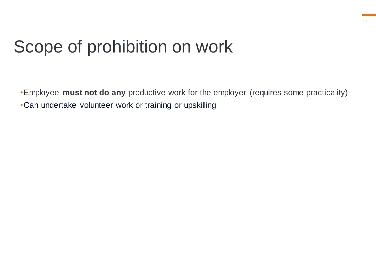#### Scope of prohibition on work

•Employee **must not do any** productive work for the employer (requires some practicality) •Can undertake volunteer work or training or upskilling